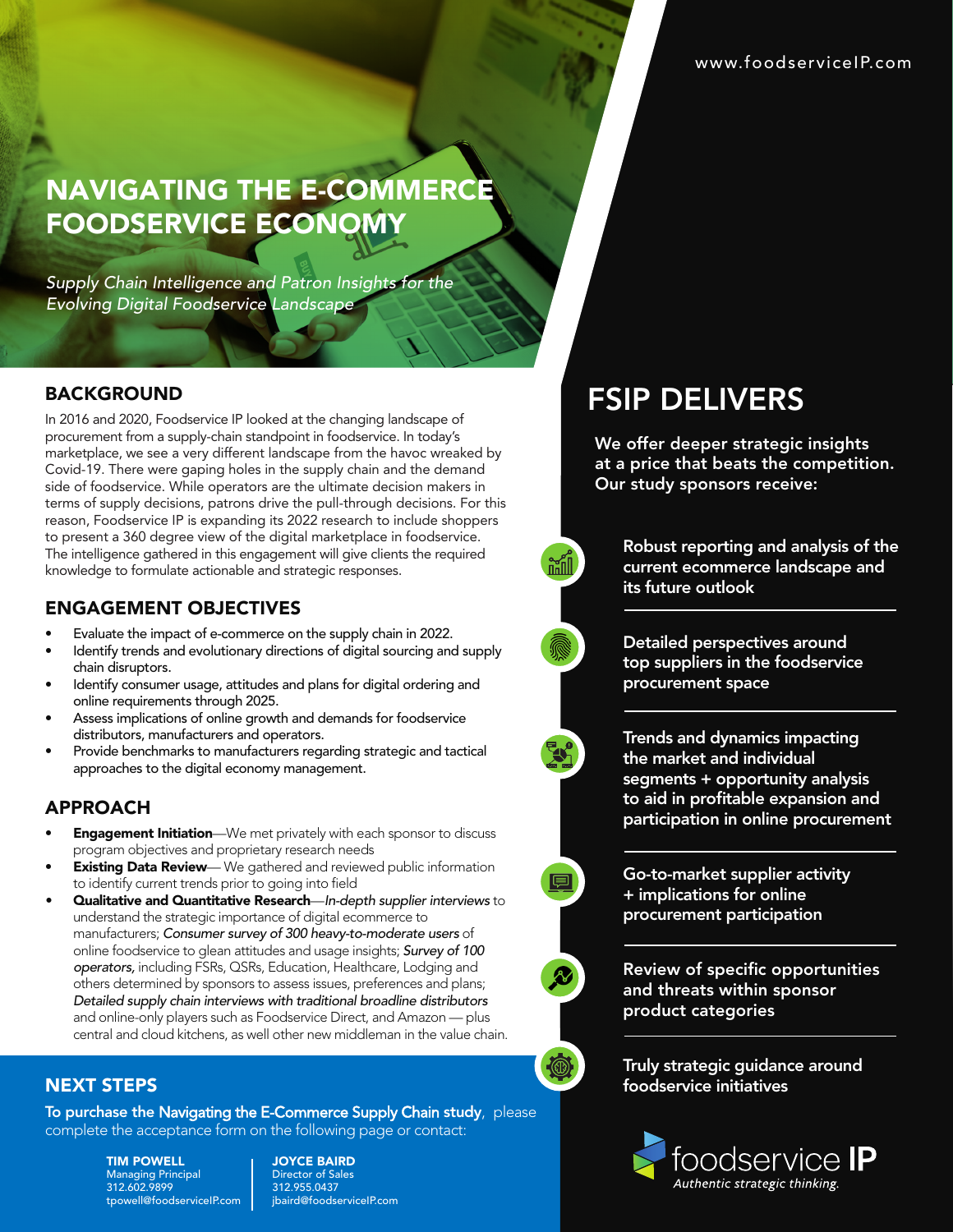# **NAVIGATING THE E-COMMERC** FOODSERVICE ECONOMY

*Supply Chain Intelligence and Patron Insights for the Evolving Digital Foodservice Landscape*

#### BACKGROUND

In 2016 and 2020, Foodservice IP looked at the changing landscape of procurement from a supply-chain standpoint in foodservice. In today's marketplace, we see a very different landscape from the havoc wreaked by Covid-19. There were gaping holes in the supply chain and the demand side of foodservice. While operators are the ultimate decision makers in terms of supply decisions, patrons drive the pull-through decisions. For this reason, Foodservice IP is expanding its 2022 research to include shoppers to present a 360 degree view of the digital marketplace in foodservice. The intelligence gathered in this engagement will give clients the required knowledge to formulate actionable and strategic responses.

### ENGAGEMENT OBJECTIVES

- Evaluate the impact of e-commerce on the supply chain in 2022.
- Identify trends and evolutionary directions of digital sourcing and supply chain disruptors.
- Identify consumer usage, attitudes and plans for digital ordering and online requirements through 2025.
- Assess implications of online growth and demands for foodservice distributors, manufacturers and operators.
- Provide benchmarks to manufacturers regarding strategic and tactical approaches to the digital economy management.

## APPROACH

- **Engagement Initiation**—We met privately with each sponsor to discuss program objectives and proprietary research needs
- **Existing Data Review**— We gathered and reviewed public information to identify current trends prior to going into field
- Qualitative and Quantitative Research—*In-depth supplier interviews* to understand the strategic importance of digital ecommerce to manufacturers; *Consumer survey of* 300 *heavy-to-moderate users* of online foodservice to glean attitudes and usage insights; *Survey of* 100 *operators,* including FSRs, QSRs, Education, Healthcare, Lodging and others determined by sponsors to assess issues, preferences and plans; *Detailed supply chain interviews with traditional broadline distributors* and online-only players such as Foodservice Direct, and Amazon — plus central and cloud kitchens, as well other new middleman in the value chain.

## Truly strategic guidance around foodservice initiatives



## NEXT STEPS

To purchase the Navigating the E-Commerce Supply Chain study, please complete the acceptance form on the following page or contact:

> TIM POWELL Managing Principal 312.602.9899 tpowell@foodserviceIP.com

JOYCE BAIRD Director of Sales 312.955.0437 jbaird@foodserviceIP.com

# FSIP DELIVERS

We offer deeper strategic insights at a price that beats the competition. Our study sponsors receive:

> Robust reporting and analysis of the current ecommerce landscape and its future outlook

Detailed perspectives around top suppliers in the foodservice procurement space

Trends and dynamics impacting the market and individual segments + opportunity analysis to aid in profitable expansion and participation in online procurement

Go-to-market supplier activity + implications for online procurement participation

Review of specific opportunities and threats within sponsor product categories